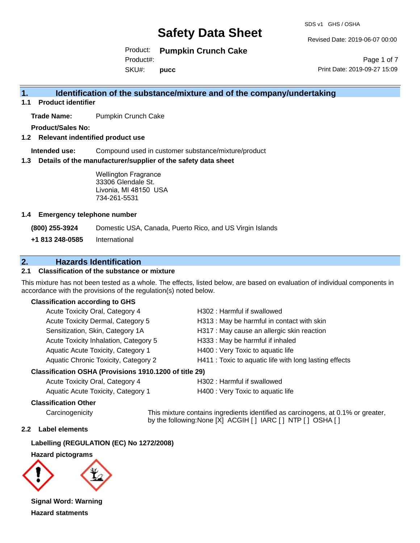SDS v1 GHS / OSHA

Revised Date: 2019-06-07 00:00

Product: **Pumpkin Crunch Cake**  SKU#: Product#: **pucc**

Page 1 of 7 Print Date: 2019-09-27 15:09

## **1. Identification of the substance/mixture and of the company/undertaking**

**1.1 Product identifier**

**Trade Name:** Pumpkin Crunch Cake

**Product/Sales No:**

**1.2 Relevant indentified product use**

**Intended use:** Compound used in customer substance/mixture/product

**1.3 Details of the manufacturer/supplier of the safety data sheet**

Wellington Fragrance 33306 Glendale St. Livonia, MI 48150 USA 734-261-5531

#### **1.4 Emergency telephone number**

**(800) 255-3924** Domestic USA, Canada, Puerto Rico, and US Virgin Islands

**+1 813 248-0585** International

## **2. Hazards Identification**

### **2.1 Classification of the substance or mixture**

This mixture has not been tested as a whole. The effects, listed below, are based on evaluation of individual components in accordance with the provisions of the regulation(s) noted below.

#### **Classification according to GHS**

| Acute Toxicity Oral, Category 4       | H302: Harmful if swallowed                             |
|---------------------------------------|--------------------------------------------------------|
| Acute Toxicity Dermal, Category 5     | H313: May be harmful in contact with skin              |
| Sensitization, Skin, Category 1A      | H317 : May cause an allergic skin reaction             |
| Acute Toxicity Inhalation, Category 5 | H333: May be harmful if inhaled                        |
| Aquatic Acute Toxicity, Category 1    | H400 : Very Toxic to aquatic life                      |
| Aquatic Chronic Toxicity, Category 2  | H411 : Toxic to aquatic life with long lasting effects |
|                                       |                                                        |

#### **Classification OSHA (Provisions 1910.1200 of title 29)**

| Acute Toxicity Oral, Category 4    |  |
|------------------------------------|--|
| Aquatic Acute Toxicity. Category 1 |  |

H302 : Harmful if swallowed

H400 : Very Toxic to aquatic life

#### **Classification Other**

Carcinogenicity This mixture contains ingredients identified as carcinogens, at 0.1% or greater, by the following:None [X] ACGIH [ ] IARC [ ] NTP [ ] OSHA [ ]

#### **2.2 Label elements**

#### **Labelling (REGULATION (EC) No 1272/2008)**

#### **Hazard pictograms**



**Signal Word: Warning Hazard statments**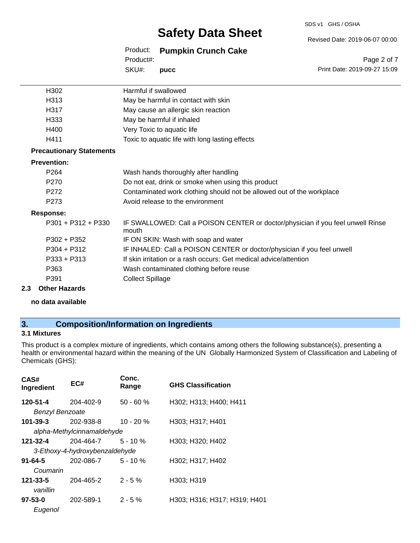#### SDS v1 GHS / OSHA

# **Safety Data Sheet**

Revised Date: 2019-06-07 00:00

Print Date: 2019-09-27 15:09

Page 2 of 7

Product: **Pumpkin Crunch Cake**  SKU#: Product#: **pucc**

| H302                            | Harmful if swallowed                                                                     |
|---------------------------------|------------------------------------------------------------------------------------------|
| H313                            | May be harmful in contact with skin                                                      |
| H317                            | May cause an allergic skin reaction                                                      |
| H333                            | May be harmful if inhaled                                                                |
| H400                            | Very Toxic to aquatic life                                                               |
| H411                            | Toxic to aquatic life with long lasting effects                                          |
| <b>Precautionary Statements</b> |                                                                                          |
| <b>Prevention:</b>              |                                                                                          |
| P <sub>264</sub>                | Wash hands thoroughly after handling                                                     |
| P270                            | Do not eat, drink or smoke when using this product                                       |
| P272                            | Contaminated work clothing should not be allowed out of the workplace                    |
| P <sub>273</sub>                | Avoid release to the environment                                                         |
| Response:                       |                                                                                          |
| $P301 + P312 + P330$            | IF SWALLOWED: Call a POISON CENTER or doctor/physician if you feel unwell Rinse<br>mouth |
| $P302 + P352$                   | IF ON SKIN: Wash with soap and water                                                     |
| $P304 + P312$                   | IF INHALED: Call a POISON CENTER or doctor/physician if you feel unwell                  |
| $P333 + P313$                   | If skin irritation or a rash occurs: Get medical advice/attention                        |
| P363                            | Wash contaminated clothing before reuse                                                  |
| P391                            | <b>Collect Spillage</b>                                                                  |
|                                 |                                                                                          |

#### **2.3 Other Hazards**

**no data available**

## **3. Composition/Information on Ingredients**

### **3.1 Mixtures**

This product is a complex mixture of ingredients, which contains among others the following substance(s), presenting a health or environmental hazard within the meaning of the UN Globally Harmonized System of Classification and Labeling of Chemicals (GHS):

| CAS#<br>Ingredient     | EC#                            | Conc.<br>Range | <b>GHS Classification</b>    |
|------------------------|--------------------------------|----------------|------------------------------|
| 120-51-4               | 204-402-9                      | $50 - 60 %$    | H302; H313; H400; H411       |
| <b>Benzyl Benzoate</b> |                                |                |                              |
| 101-39-3               | 202-938-8                      | $10 - 20%$     | H303; H317; H401             |
|                        | alpha-Methylcinnamaldehyde     |                |                              |
| 121-32-4               | 204-464-7                      | $5 - 10 \%$    | H303: H320: H402             |
|                        | 3-Ethoxy-4-hydroxybenzaldehyde |                |                              |
| $91 - 64 - 5$          | 202-086-7                      | $5 - 10 \%$    | H302; H317; H402             |
| Coumarin               |                                |                |                              |
| $121 - 33 - 5$         | 204-465-2                      | $2 - 5%$       | H303; H319                   |
| vanillin               |                                |                |                              |
| $97 - 53 - 0$          | 202-589-1                      | $2 - 5\%$      | H303; H316; H317; H319; H401 |
| Eugenol                |                                |                |                              |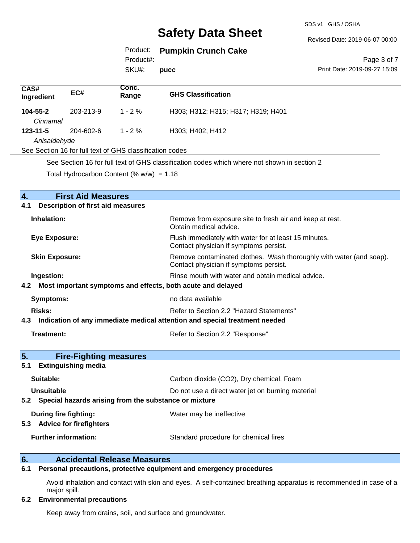SDS v1 GHS / OSHA

Revised Date: 2019-06-07 00:00

Product: **Pumpkin Crunch Cake** 

Product#:

SKU#: **pucc**

Page 3 of 7 Print Date: 2019-09-27 15:09

| CAS#<br>Ingredient                                                            | EC#                                                      | Conc.<br>Range | <b>GHS Classification</b>          |  |  |
|-------------------------------------------------------------------------------|----------------------------------------------------------|----------------|------------------------------------|--|--|
| 104-55-2<br>Cinnamal                                                          | 203-213-9                                                | $1 - 2\%$      | H303; H312; H315; H317; H319; H401 |  |  |
| H303; H402; H412<br>204-602-6<br>$123 - 11 - 5$<br>$1 - 2 \%$<br>Anisaldehyde |                                                          |                |                                    |  |  |
|                                                                               | See Section 16 for full text of GHS classification codes |                |                                    |  |  |
|                                                                               |                                                          |                |                                    |  |  |

See Section 16 for full text of GHS classification codes which where not shown in section 2

Total Hydrocarbon Content (%  $w/w$ ) = 1.18

| $\overline{4}$ .<br><b>First Aid Measures</b>                                  |                                                                                                               |  |  |
|--------------------------------------------------------------------------------|---------------------------------------------------------------------------------------------------------------|--|--|
| <b>Description of first aid measures</b><br>4.1                                |                                                                                                               |  |  |
| Inhalation:                                                                    | Remove from exposure site to fresh air and keep at rest.<br>Obtain medical advice.                            |  |  |
| Eye Exposure:                                                                  | Flush immediately with water for at least 15 minutes.<br>Contact physician if symptoms persist.               |  |  |
| <b>Skin Exposure:</b>                                                          | Remove contaminated clothes. Wash thoroughly with water (and soap).<br>Contact physician if symptoms persist. |  |  |
| Ingestion:                                                                     | Rinse mouth with water and obtain medical advice.                                                             |  |  |
| 4.2 Most important symptoms and effects, both acute and delayed                |                                                                                                               |  |  |
| Symptoms:                                                                      | no data available                                                                                             |  |  |
| Risks:                                                                         | Refer to Section 2.2 "Hazard Statements"                                                                      |  |  |
| 4.3 Indication of any immediate medical attention and special treatment needed |                                                                                                               |  |  |
| Treatment:<br>Refer to Section 2.2 "Response"                                  |                                                                                                               |  |  |
| 5.<br><b>Fire-Fighting measures</b>                                            |                                                                                                               |  |  |
| <b>Extinguishing media</b><br>5.1                                              |                                                                                                               |  |  |
| Suitable:                                                                      | Carbon dioxide (CO2), Dry chemical, Foam                                                                      |  |  |
| <b>Unsuitable</b>                                                              | Do not use a direct water jet on burning material                                                             |  |  |
| 5.2 Special hazards arising from the substance or mixture                      |                                                                                                               |  |  |
| During fire fighting:<br>5.3 Advice for firefighters                           | Water may be ineffective                                                                                      |  |  |
| <b>Further information:</b>                                                    | Standard procedure for chemical fires                                                                         |  |  |
|                                                                                |                                                                                                               |  |  |

# **6. Calcularial Release Measures**<br>**6.1** Personal precautions, protective equipment

### **6.1 Personal precautions, protective equipment and emergency procedures**

Avoid inhalation and contact with skin and eyes. A self-contained breathing apparatus is recommended in case of a major spill.

#### **6.2 Environmental precautions**

Keep away from drains, soil, and surface and groundwater.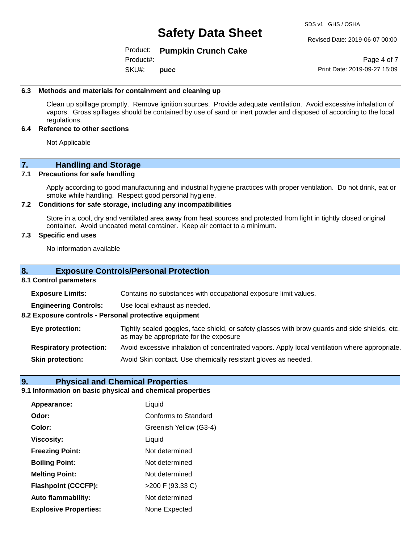SDS v1 GHS / OSHA

Revised Date: 2019-06-07 00:00

#### Product: **Pumpkin Crunch Cake**

SKU#: Product#: **pucc**

Page 4 of 7 Print Date: 2019-09-27 15:09

#### **6.3 Methods and materials for containment and cleaning up**

Clean up spillage promptly. Remove ignition sources. Provide adequate ventilation. Avoid excessive inhalation of vapors. Gross spillages should be contained by use of sand or inert powder and disposed of according to the local regulations.

#### **6.4 Reference to other sections**

Not Applicable

### **7. Handling and Storage**

#### **7.1 Precautions for safe handling**

Apply according to good manufacturing and industrial hygiene practices with proper ventilation. Do not drink, eat or smoke while handling. Respect good personal hygiene.

#### **7.2 Conditions for safe storage, including any incompatibilities**

Store in a cool, dry and ventilated area away from heat sources and protected from light in tightly closed original container. Avoid uncoated metal container. Keep air contact to a minimum.

#### **7.3 Specific end uses**

No information available

#### **8. Exposure Controls/Personal Protection**

#### **8.1 Control parameters**

**Exposure Limits:** Contains no substances with occupational exposure limit values.

**Engineering Controls:** Use local exhaust as needed.

**8.2 Exposure controls - Personal protective equipment**

**Eye protection:** Tightly sealed goggles, face shield, or safety glasses with brow guards and side shields, etc. as may be appropriate for the exposure

**Respiratory protection:** Avoid excessive inhalation of concentrated vapors. Apply local ventilation where appropriate.

**Skin protection:** Avoid Skin contact. Use chemically resistant gloves as needed.

#### **9. Physical and Chemical Properties**

### **9.1 Information on basic physical and chemical properties**

| Appearance:                  | Liquid                 |
|------------------------------|------------------------|
| Odor:                        | Conforms to Standard   |
| Color:                       | Greenish Yellow (G3-4) |
| <b>Viscosity:</b>            | Liquid                 |
| <b>Freezing Point:</b>       | Not determined         |
| <b>Boiling Point:</b>        | Not determined         |
| <b>Melting Point:</b>        | Not determined         |
| <b>Flashpoint (CCCFP):</b>   | >200 F (93.33 C)       |
| <b>Auto flammability:</b>    | Not determined         |
| <b>Explosive Properties:</b> | None Expected          |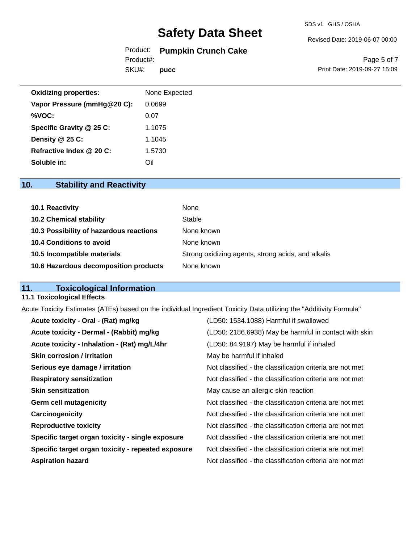#### Revised Date: 2019-06-07 00:00

# Product: **Pumpkin Crunch Cake**

SKU#: Product#: **pucc**

Page 5 of 7 Print Date: 2019-09-27 15:09

| <b>Oxidizing properties:</b> | None Expected |
|------------------------------|---------------|
| Vapor Pressure (mmHg@20 C):  | 0.0699        |
| %VOC:                        | 0.07          |
| Specific Gravity @ 25 C:     | 1.1075        |
| Density @ 25 C:              | 1.1045        |
| Refractive Index @ 20 C:     | 1.5730        |
| Soluble in:                  | Oil           |

# **10. Stability and Reactivity**

| 10.1 Reactivity                         | None                                               |
|-----------------------------------------|----------------------------------------------------|
| <b>10.2 Chemical stability</b>          | Stable                                             |
| 10.3 Possibility of hazardous reactions | None known                                         |
| 10.4 Conditions to avoid                | None known                                         |
| 10.5 Incompatible materials             | Strong oxidizing agents, strong acids, and alkalis |
| 10.6 Hazardous decomposition products   | None known                                         |

## **11. Toxicological Information**

### **11.1 Toxicological Effects**

Acute Toxicity Estimates (ATEs) based on the individual Ingredient Toxicity Data utilizing the "Additivity Formula"

| Acute toxicity - Oral - (Rat) mg/kg                | (LD50: 1534.1088) Harmful if swallowed                   |
|----------------------------------------------------|----------------------------------------------------------|
| Acute toxicity - Dermal - (Rabbit) mg/kg           | (LD50: 2186.6938) May be harmful in contact with skin    |
| Acute toxicity - Inhalation - (Rat) mg/L/4hr       | (LD50: 84.9197) May be harmful if inhaled                |
| <b>Skin corrosion / irritation</b>                 | May be harmful if inhaled                                |
| Serious eye damage / irritation                    | Not classified - the classification criteria are not met |
| <b>Respiratory sensitization</b>                   | Not classified - the classification criteria are not met |
| <b>Skin sensitization</b>                          | May cause an allergic skin reaction                      |
| <b>Germ cell mutagenicity</b>                      | Not classified - the classification criteria are not met |
| Carcinogenicity                                    | Not classified - the classification criteria are not met |
| <b>Reproductive toxicity</b>                       | Not classified - the classification criteria are not met |
| Specific target organ toxicity - single exposure   | Not classified - the classification criteria are not met |
| Specific target organ toxicity - repeated exposure | Not classified - the classification criteria are not met |
| <b>Aspiration hazard</b>                           | Not classified - the classification criteria are not met |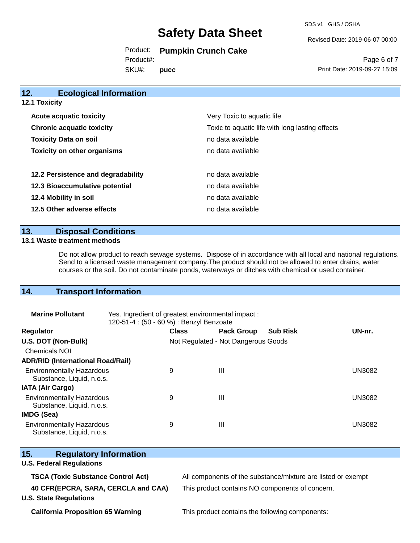SDS v1 GHS / OSHA

Revised Date: 2019-06-07 00:00

Product: **Pumpkin Crunch Cake**  Product#:

SKU#: **pucc**

Page 6 of 7 Print Date: 2019-09-27 15:09

| <b>Ecological Information</b><br><b>12.1 Toxicity</b> |  |  |  |  |
|-------------------------------------------------------|--|--|--|--|
| Very Toxic to aquatic life                            |  |  |  |  |
| Toxic to aquatic life with long lasting effects       |  |  |  |  |
| no data available                                     |  |  |  |  |
| no data available                                     |  |  |  |  |
| no data available                                     |  |  |  |  |
| no data available                                     |  |  |  |  |
| no data available                                     |  |  |  |  |
| no data available                                     |  |  |  |  |
|                                                       |  |  |  |  |

### **13. Disposal Conditions**

#### **13.1 Waste treatment methods**

Do not allow product to reach sewage systems. Dispose of in accordance with all local and national regulations. Send to a licensed waste management company.The product should not be allowed to enter drains, water courses or the soil. Do not contaminate ponds, waterways or ditches with chemical or used container.

## **14. Transport Information**

| <b>Marine Pollutant</b>                                       | Yes. Ingredient of greatest environmental impact:<br>120-51-4 : (50 - 60 %) : Benzyl Benzoate |                                     |                   |                 |               |
|---------------------------------------------------------------|-----------------------------------------------------------------------------------------------|-------------------------------------|-------------------|-----------------|---------------|
| <b>Regulator</b>                                              |                                                                                               | <b>Class</b>                        | <b>Pack Group</b> | <b>Sub Risk</b> | UN-nr.        |
| U.S. DOT (Non-Bulk)                                           |                                                                                               | Not Regulated - Not Dangerous Goods |                   |                 |               |
| <b>Chemicals NOI</b>                                          |                                                                                               |                                     |                   |                 |               |
| <b>ADR/RID (International Road/Rail)</b>                      |                                                                                               |                                     |                   |                 |               |
| <b>Environmentally Hazardous</b><br>Substance, Liquid, n.o.s. |                                                                                               | 9                                   | Ш                 |                 | <b>UN3082</b> |
| <b>IATA (Air Cargo)</b>                                       |                                                                                               |                                     |                   |                 |               |
| <b>Environmentally Hazardous</b><br>Substance, Liquid, n.o.s. |                                                                                               | 9                                   | Ш                 |                 | <b>UN3082</b> |
| <b>IMDG (Sea)</b>                                             |                                                                                               |                                     |                   |                 |               |
| <b>Environmentally Hazardous</b><br>Substance, Liquid, n.o.s. |                                                                                               | 9                                   | Ш                 |                 | <b>UN3082</b> |

| Substance, Liquid, n.o.s.                 |                                                              |
|-------------------------------------------|--------------------------------------------------------------|
| 15.<br><b>Regulatory Information</b>      |                                                              |
| <b>U.S. Federal Regulations</b>           |                                                              |
| <b>TSCA (Toxic Substance Control Act)</b> | All components of the substance/mixture are listed or exempt |
| 40 CFR(EPCRA, SARA, CERCLA and CAA)       | This product contains NO components of concern.              |
| <b>U.S. State Regulations</b>             |                                                              |
|                                           |                                                              |

**California Proposition 65 Warning This product contains the following components:**